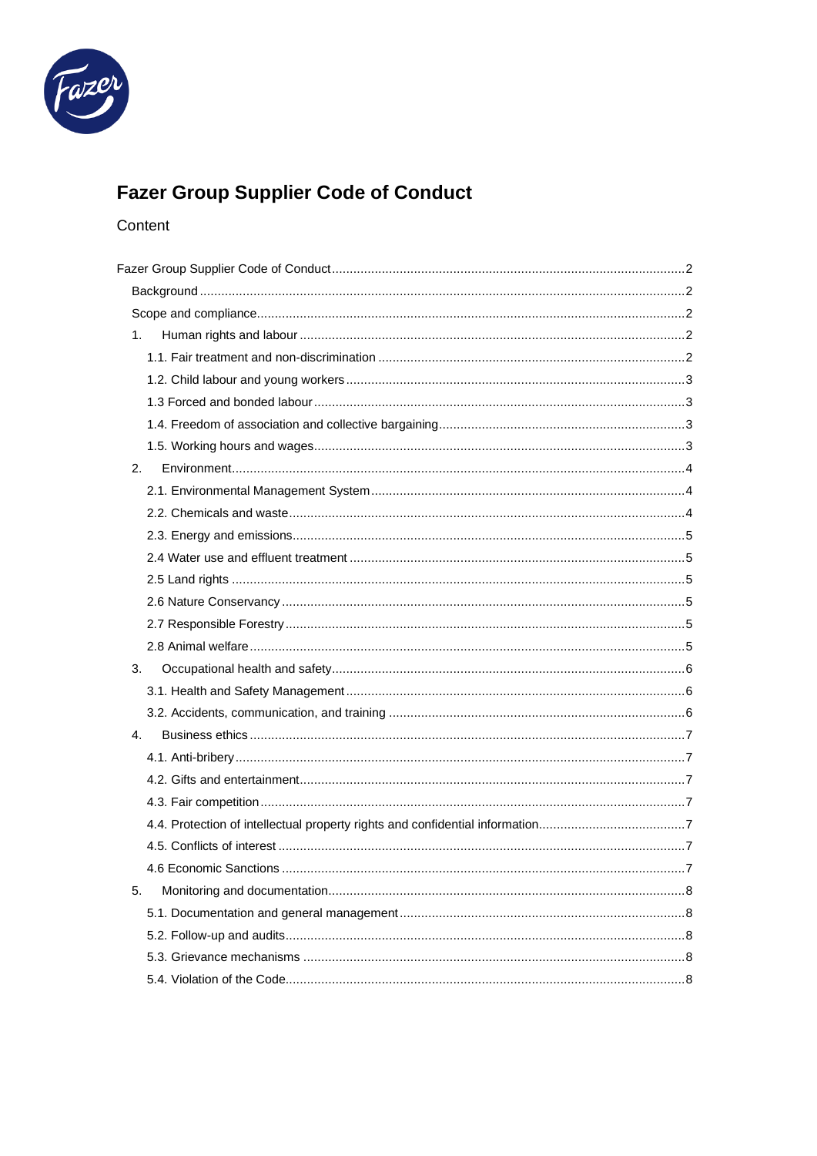

# **Fazer Group Supplier Code of Conduct**

## Content

| 1. |  |
|----|--|
|    |  |
|    |  |
|    |  |
|    |  |
|    |  |
| 2. |  |
|    |  |
|    |  |
|    |  |
|    |  |
|    |  |
|    |  |
|    |  |
|    |  |
| 3. |  |
|    |  |
|    |  |
| 4. |  |
|    |  |
|    |  |
|    |  |
|    |  |
|    |  |
|    |  |
| 5. |  |
|    |  |
|    |  |
|    |  |
|    |  |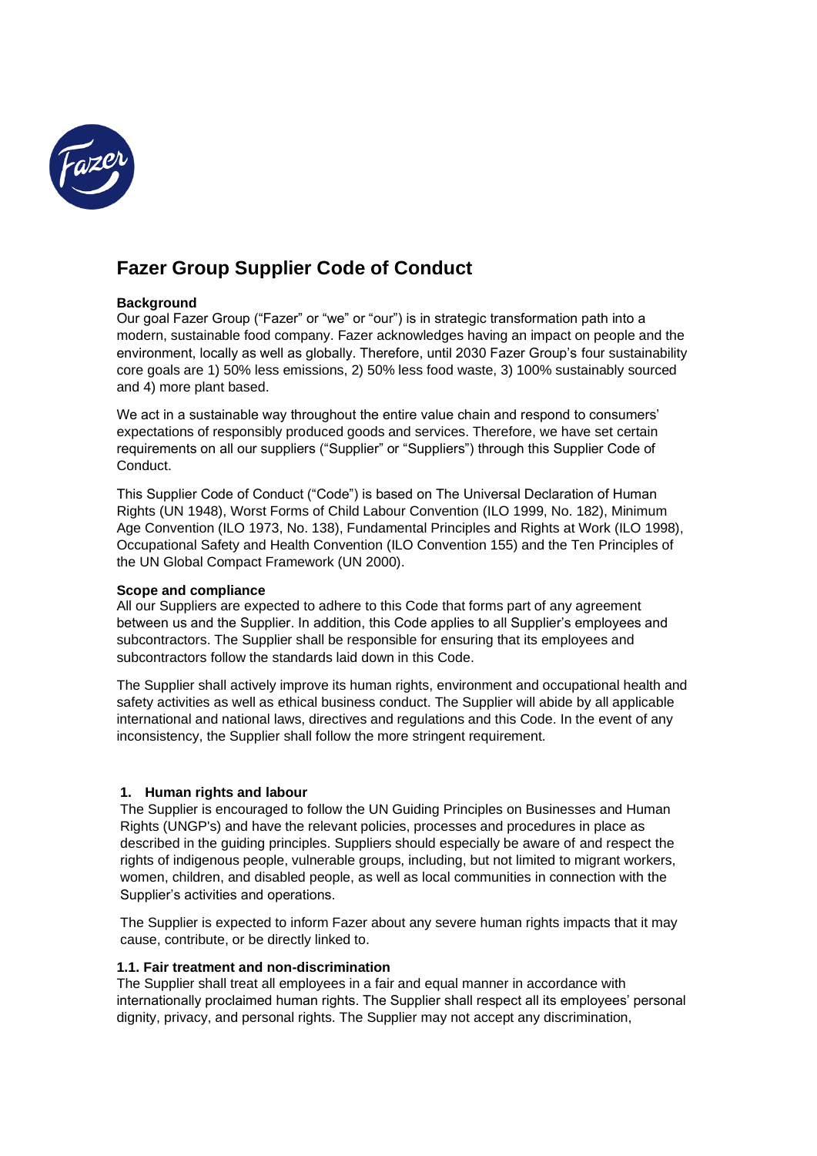

## <span id="page-1-0"></span>**Fazer Group Supplier Code of Conduct**

## <span id="page-1-1"></span>**Background**

Our goal Fazer Group ("Fazer" or "we" or "our") is in strategic transformation path into a modern, sustainable food company. Fazer acknowledges having an impact on people and the environment, locally as well as globally. Therefore, until 2030 Fazer Group's four sustainability core goals are 1) 50% less emissions, 2) 50% less food waste, 3) 100% sustainably sourced and 4) more plant based.

We act in a sustainable way throughout the entire value chain and respond to consumers' expectations of responsibly produced goods and services. Therefore, we have set certain requirements on all our suppliers ("Supplier" or "Suppliers") through this Supplier Code of Conduct.

This Supplier Code of Conduct ("Code") is based on The Universal Declaration of Human Rights (UN 1948), Worst Forms of Child Labour Convention (ILO 1999, No. 182), Minimum Age Convention (ILO 1973, No. 138), Fundamental Principles and Rights at Work (ILO 1998), Occupational Safety and Health Convention (ILO Convention 155) and the Ten Principles of the UN Global Compact Framework (UN 2000).

## <span id="page-1-2"></span>**Scope and compliance**

All our Suppliers are expected to adhere to this Code that forms part of any agreement between us and the Supplier. In addition, this Code applies to all Supplier's employees and subcontractors. The Supplier shall be responsible for ensuring that its employees and subcontractors follow the standards laid down in this Code.

The Supplier shall actively improve its human rights, environment and occupational health and safety activities as well as ethical business conduct. The Supplier will abide by all applicable international and national laws, directives and regulations and this Code. In the event of any inconsistency, the Supplier shall follow the more stringent requirement.

## <span id="page-1-3"></span>**1. Human rights and labour**

The Supplier is encouraged to follow the UN Guiding Principles on Businesses and Human Rights (UNGP's) and have the relevant policies, processes and procedures in place as described in the guiding principles. Suppliers should especially be aware of and respect the rights of indigenous people, vulnerable groups, including, but not limited to migrant workers, women, children, and disabled people, as well as local communities in connection with the Supplier's activities and operations.

The Supplier is expected to inform Fazer about any severe human rights impacts that it may cause, contribute, or be directly linked to.

## <span id="page-1-4"></span>**1.1. Fair treatment and non-discrimination**

The Supplier shall treat all employees in a fair and equal manner in accordance with internationally proclaimed human rights. The Supplier shall respect all its employees' personal dignity, privacy, and personal rights. The Supplier may not accept any discrimination,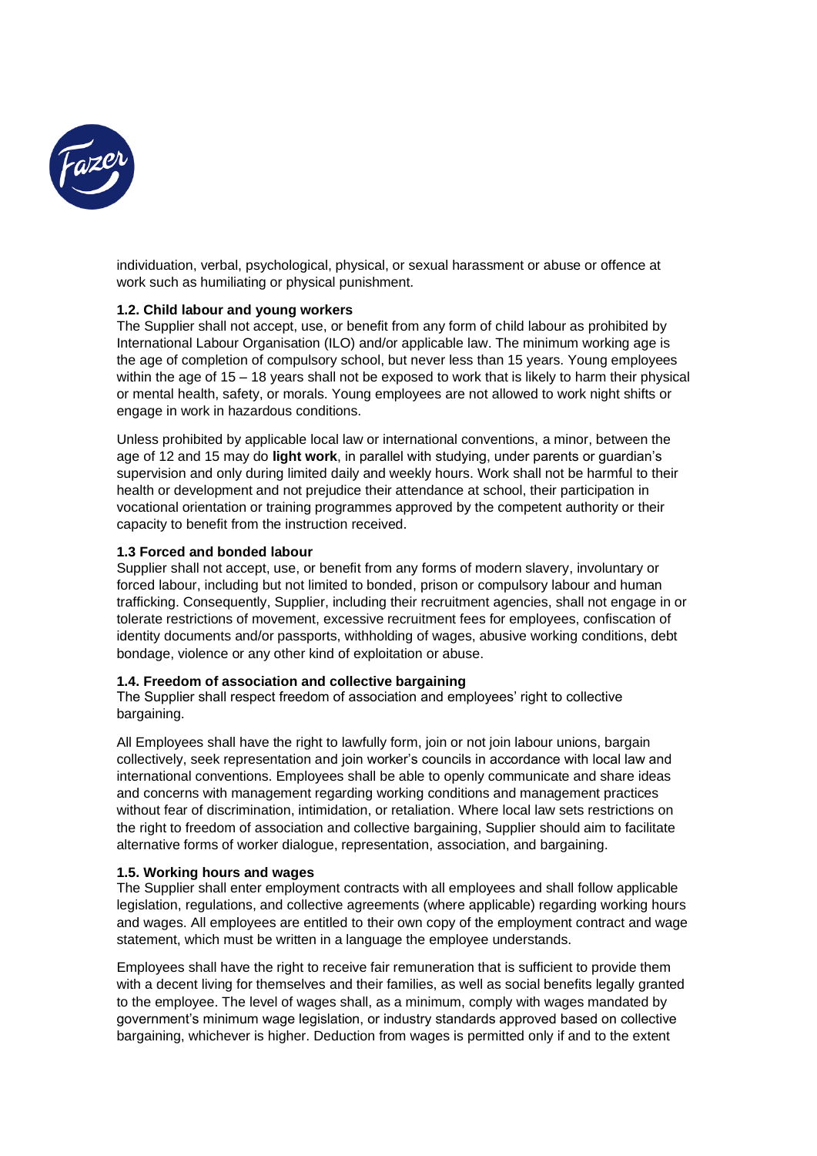

individuation, verbal, psychological, physical, or sexual harassment or abuse or offence at work such as humiliating or physical punishment.

## <span id="page-2-0"></span>**1.2. Child labour and young workers**

The Supplier shall not accept, use, or benefit from any form of child labour as prohibited by International Labour Organisation (ILO) and/or applicable law. The minimum working age is the age of completion of compulsory school, but never less than 15 years. Young employees within the age of 15 – 18 years shall not be exposed to work that is likely to harm their physical or mental health, safety, or morals. Young employees are not allowed to work night shifts or engage in work in hazardous conditions.

Unless prohibited by applicable local law or international conventions, a minor, between the age of 12 and 15 may do **light work**, in parallel with studying, under parents or guardian's supervision and only during limited daily and weekly hours. Work shall not be harmful to their health or development and not prejudice their attendance at school, their participation in vocational orientation or training programmes approved by the competent authority or their capacity to benefit from the instruction received.

## <span id="page-2-1"></span>**1.3 Forced and bonded labour**

Supplier shall not accept, use, or benefit from any forms of modern slavery, involuntary or forced labour, including but not limited to bonded, prison or compulsory labour and human trafficking. Consequently, Supplier, including their recruitment agencies, shall not engage in or tolerate restrictions of movement, excessive recruitment fees for employees, confiscation of identity documents and/or passports, withholding of wages, abusive working conditions, debt bondage, violence or any other kind of exploitation or abuse.

## <span id="page-2-2"></span>**1.4. Freedom of association and collective bargaining**

The Supplier shall respect freedom of association and employees' right to collective bargaining.

All Employees shall have the right to lawfully form, join or not join labour unions, bargain collectively, seek representation and join worker's councils in accordance with local law and international conventions. Employees shall be able to openly communicate and share ideas and concerns with management regarding working conditions and management practices without fear of discrimination, intimidation, or retaliation. Where local law sets restrictions on the right to freedom of association and collective bargaining, Supplier should aim to facilitate alternative forms of worker dialogue, representation, association, and bargaining.

## <span id="page-2-3"></span>**1.5. Working hours and wages**

The Supplier shall enter employment contracts with all employees and shall follow applicable legislation, regulations, and collective agreements (where applicable) regarding working hours and wages. All employees are entitled to their own copy of the employment contract and wage statement, which must be written in a language the employee understands.

Employees shall have the right to receive fair remuneration that is sufficient to provide them with a decent living for themselves and their families, as well as social benefits legally granted to the employee. The level of wages shall, as a minimum, comply with wages mandated by government's minimum wage legislation, or industry standards approved based on collective bargaining, whichever is higher. Deduction from wages is permitted only if and to the extent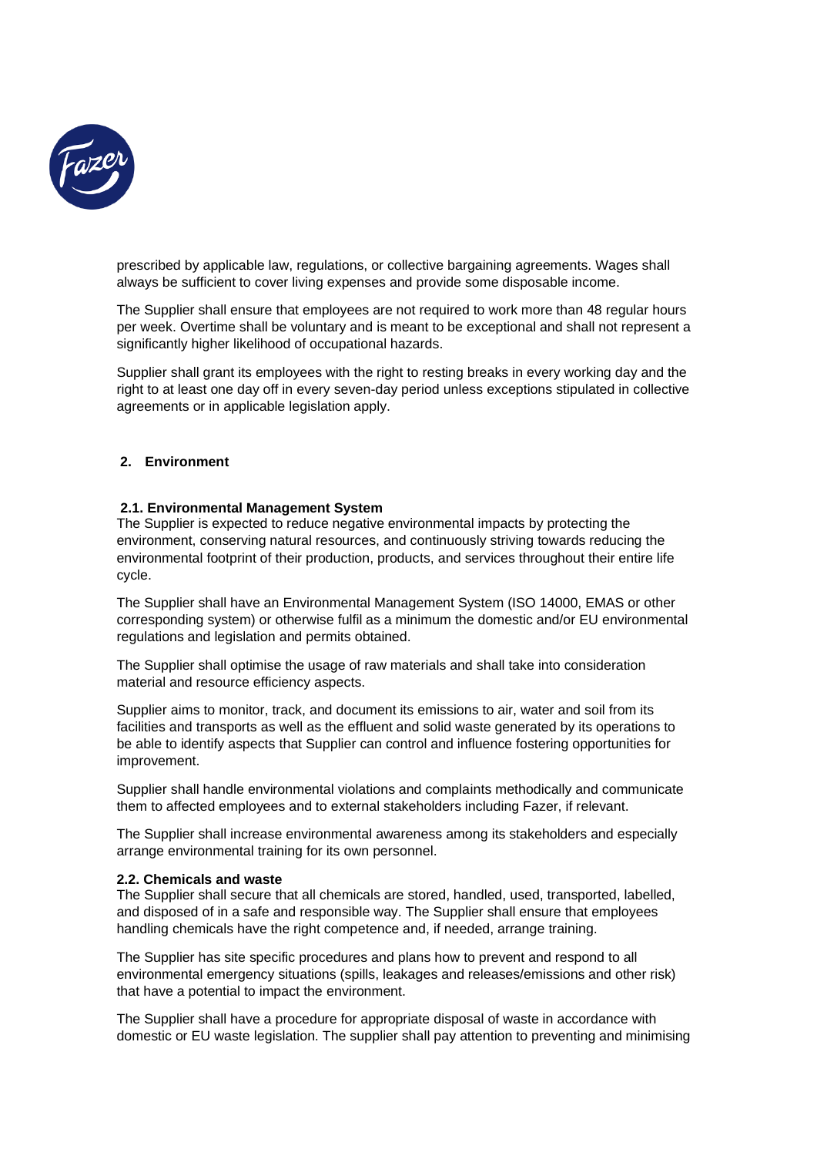

prescribed by applicable law, regulations, or collective bargaining agreements. Wages shall always be sufficient to cover living expenses and provide some disposable income.

The Supplier shall ensure that employees are not required to work more than 48 regular hours per week. Overtime shall be voluntary and is meant to be exceptional and shall not represent a significantly higher likelihood of occupational hazards.

Supplier shall grant its employees with the right to resting breaks in every working day and the right to at least one day off in every seven-day period unless exceptions stipulated in collective agreements or in applicable legislation apply.

## <span id="page-3-0"></span>**2. Environment**

## <span id="page-3-1"></span>**2.1. Environmental Management System**

The Supplier is expected to reduce negative environmental impacts by protecting the environment, conserving natural resources, and continuously striving towards reducing the environmental footprint of their production, products, and services throughout their entire life cycle.

The Supplier shall have an Environmental Management System (ISO 14000, EMAS or other corresponding system) or otherwise fulfil as a minimum the domestic and/or EU environmental regulations and legislation and permits obtained.

The Supplier shall optimise the usage of raw materials and shall take into consideration material and resource efficiency aspects.

Supplier aims to monitor, track, and document its emissions to air, water and soil from its facilities and transports as well as the effluent and solid waste generated by its operations to be able to identify aspects that Supplier can control and influence fostering opportunities for improvement.

Supplier shall handle environmental violations and complaints methodically and communicate them to affected employees and to external stakeholders including Fazer, if relevant.

The Supplier shall increase environmental awareness among its stakeholders and especially arrange environmental training for its own personnel.

## <span id="page-3-2"></span>**2.2. Chemicals and waste**

The Supplier shall secure that all chemicals are stored, handled, used, transported, labelled, and disposed of in a safe and responsible way. The Supplier shall ensure that employees handling chemicals have the right competence and, if needed, arrange training.

The Supplier has site specific procedures and plans how to prevent and respond to all environmental emergency situations (spills, leakages and releases/emissions and other risk) that have a potential to impact the environment.

The Supplier shall have a procedure for appropriate disposal of waste in accordance with domestic or EU waste legislation. The supplier shall pay attention to preventing and minimising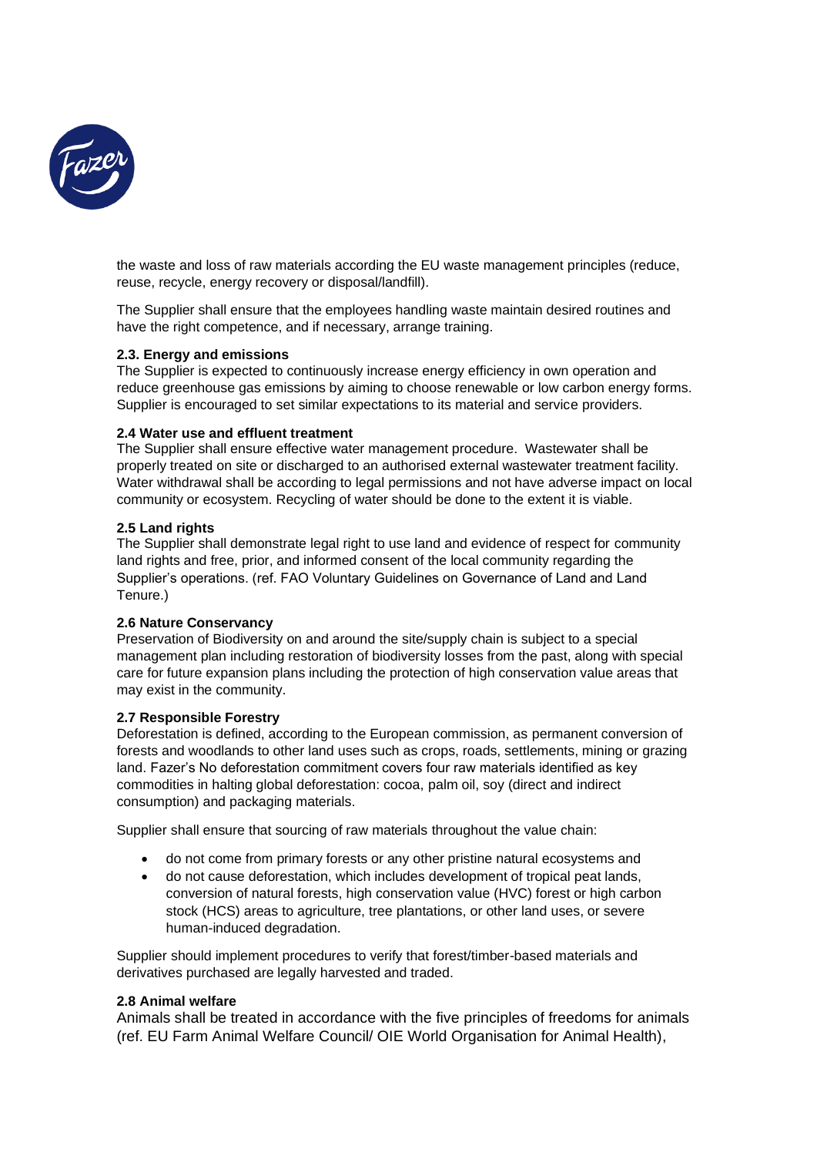

the waste and loss of raw materials according the EU waste management principles (reduce, reuse, recycle, energy recovery or disposal/landfill).

The Supplier shall ensure that the employees handling waste maintain desired routines and have the right competence, and if necessary, arrange training.

## <span id="page-4-0"></span>**2.3. Energy and emissions**

The Supplier is expected to continuously increase energy efficiency in own operation and reduce greenhouse gas emissions by aiming to choose renewable or low carbon energy forms. Supplier is encouraged to set similar expectations to its material and service providers.

## <span id="page-4-1"></span>**2.4 Water use and effluent treatment**

The Supplier shall ensure effective water management procedure. Wastewater shall be properly treated on site or discharged to an authorised external wastewater treatment facility. Water withdrawal shall be according to legal permissions and not have adverse impact on local community or ecosystem. Recycling of water should be done to the extent it is viable.

## <span id="page-4-2"></span>**2.5 Land rights**

The Supplier shall demonstrate legal right to use land and evidence of respect for community land rights and free, prior, and informed consent of the local community regarding the Supplier's operations. (ref. FAO Voluntary Guidelines on Governance of Land and Land Tenure.)

## <span id="page-4-3"></span>**2.6 Nature Conservancy**

Preservation of Biodiversity on and around the site/supply chain is subject to a special management plan including restoration of biodiversity losses from the past, along with special care for future expansion plans including the protection of high conservation value areas that may exist in the community.

## <span id="page-4-4"></span>**2.7 Responsible Forestry**

Deforestation is defined, according to the European commission, as permanent conversion of forests and woodlands to other land uses such as crops, roads, settlements, mining or grazing land. Fazer's No deforestation commitment covers four raw materials identified as key commodities in halting global deforestation: cocoa, palm oil, soy (direct and indirect consumption) and packaging materials.

Supplier shall ensure that sourcing of raw materials throughout the value chain:

- do not come from primary forests or any other pristine natural ecosystems and
- do not cause deforestation, which includes development of tropical peat lands, conversion of natural forests, high conservation value (HVC) forest or high carbon stock (HCS) areas to agriculture, tree plantations, or other land uses, or severe human-induced degradation.

Supplier should implement procedures to verify that forest/timber-based materials and derivatives purchased are legally harvested and traded.

## <span id="page-4-5"></span>**2.8 Animal welfare**

Animals shall be treated in accordance with the five principles of freedoms for animals (ref. EU Farm Animal Welfare Council/ OIE World Organisation for Animal Health),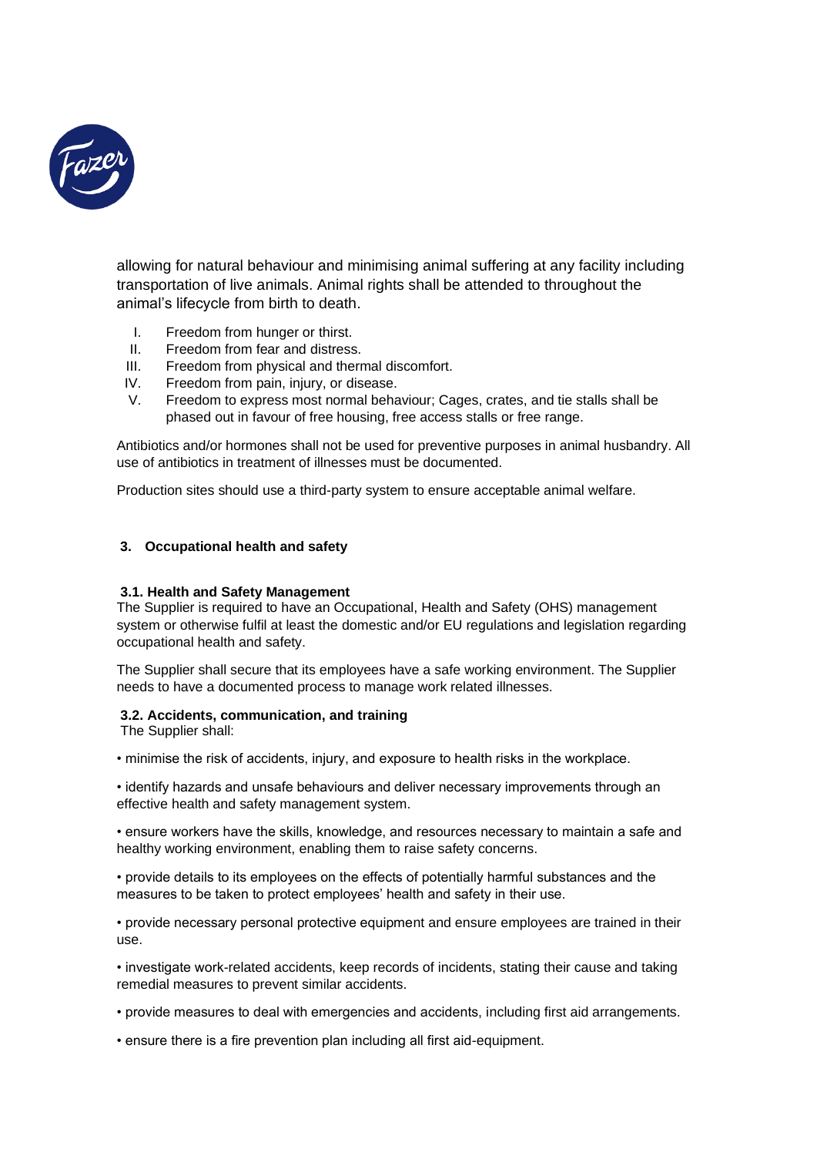

allowing for natural behaviour and minimising animal suffering at any facility including transportation of live animals. Animal rights shall be attended to throughout the animal's lifecycle from birth to death.

- I. Freedom from hunger or thirst.
- II. Freedom from fear and distress.
- III. Freedom from physical and thermal discomfort.
- IV. Freedom from pain, injury, or disease.
- V. Freedom to express most normal behaviour; Cages, crates, and tie stalls shall be phased out in favour of free housing, free access stalls or free range.

Antibiotics and/or hormones shall not be used for preventive purposes in animal husbandry. All use of antibiotics in treatment of illnesses must be documented.

Production sites should use a third-party system to ensure acceptable animal welfare.

## <span id="page-5-0"></span>**3. Occupational health and safety**

## <span id="page-5-1"></span>**3.1. Health and Safety Management**

The Supplier is required to have an Occupational, Health and Safety (OHS) management system or otherwise fulfil at least the domestic and/or EU regulations and legislation regarding occupational health and safety.

The Supplier shall secure that its employees have a safe working environment. The Supplier needs to have a documented process to manage work related illnesses.

## <span id="page-5-2"></span>**3.2. Accidents, communication, and training**

The Supplier shall:

• minimise the risk of accidents, injury, and exposure to health risks in the workplace.

• identify hazards and unsafe behaviours and deliver necessary improvements through an effective health and safety management system.

• ensure workers have the skills, knowledge, and resources necessary to maintain a safe and healthy working environment, enabling them to raise safety concerns.

• provide details to its employees on the effects of potentially harmful substances and the measures to be taken to protect employees' health and safety in their use.

• provide necessary personal protective equipment and ensure employees are trained in their use.

• investigate work-related accidents, keep records of incidents, stating their cause and taking remedial measures to prevent similar accidents.

• provide measures to deal with emergencies and accidents, including first aid arrangements.

• ensure there is a fire prevention plan including all first aid-equipment.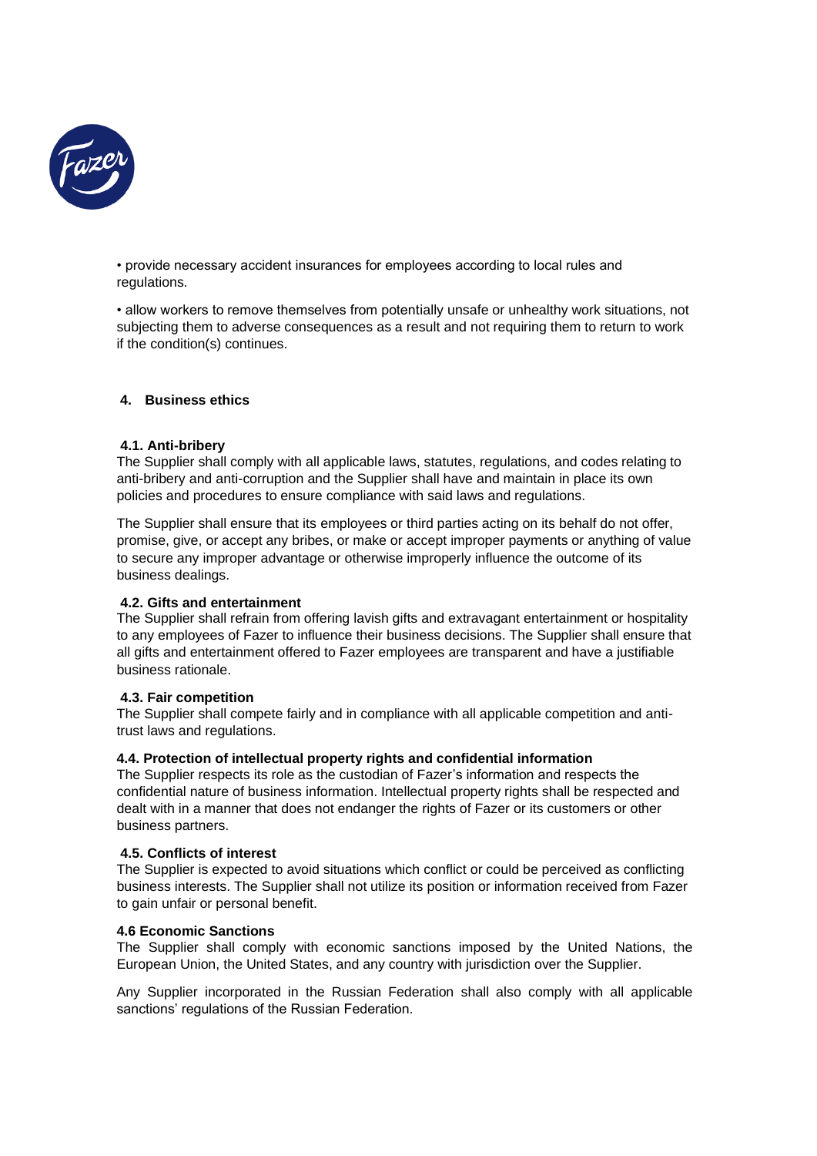

• provide necessary accident insurances for employees according to local rules and regulations.

• allow workers to remove themselves from potentially unsafe or unhealthy work situations, not subjecting them to adverse consequences as a result and not requiring them to return to work if the condition(s) continues.

## <span id="page-6-0"></span>**4. Business ethics**

## <span id="page-6-1"></span>**4.1. Anti-bribery**

The Supplier shall comply with all applicable laws, statutes, regulations, and codes relating to anti-bribery and anti-corruption and the Supplier shall have and maintain in place its own policies and procedures to ensure compliance with said laws and regulations.

The Supplier shall ensure that its employees or third parties acting on its behalf do not offer, promise, give, or accept any bribes, or make or accept improper payments or anything of value to secure any improper advantage or otherwise improperly influence the outcome of its business dealings.

## <span id="page-6-2"></span>**4.2. Gifts and entertainment**

The Supplier shall refrain from offering lavish gifts and extravagant entertainment or hospitality to any employees of Fazer to influence their business decisions. The Supplier shall ensure that all gifts and entertainment offered to Fazer employees are transparent and have a justifiable business rationale.

## <span id="page-6-3"></span>**4.3. Fair competition**

The Supplier shall compete fairly and in compliance with all applicable competition and antitrust laws and regulations.

## <span id="page-6-4"></span>**4.4. Protection of intellectual property rights and confidential information**

The Supplier respects its role as the custodian of Fazer's information and respects the confidential nature of business information. Intellectual property rights shall be respected and dealt with in a manner that does not endanger the rights of Fazer or its customers or other business partners.

## <span id="page-6-5"></span>**4.5. Conflicts of interest**

The Supplier is expected to avoid situations which conflict or could be perceived as conflicting business interests. The Supplier shall not utilize its position or information received from Fazer to gain unfair or personal benefit.

## <span id="page-6-6"></span>**4.6 Economic Sanctions**

The Supplier shall comply with economic sanctions imposed by the United Nations, the European Union, the United States, and any country with jurisdiction over the Supplier.

Any Supplier incorporated in the Russian Federation shall also comply with all applicable sanctions' regulations of the Russian Federation.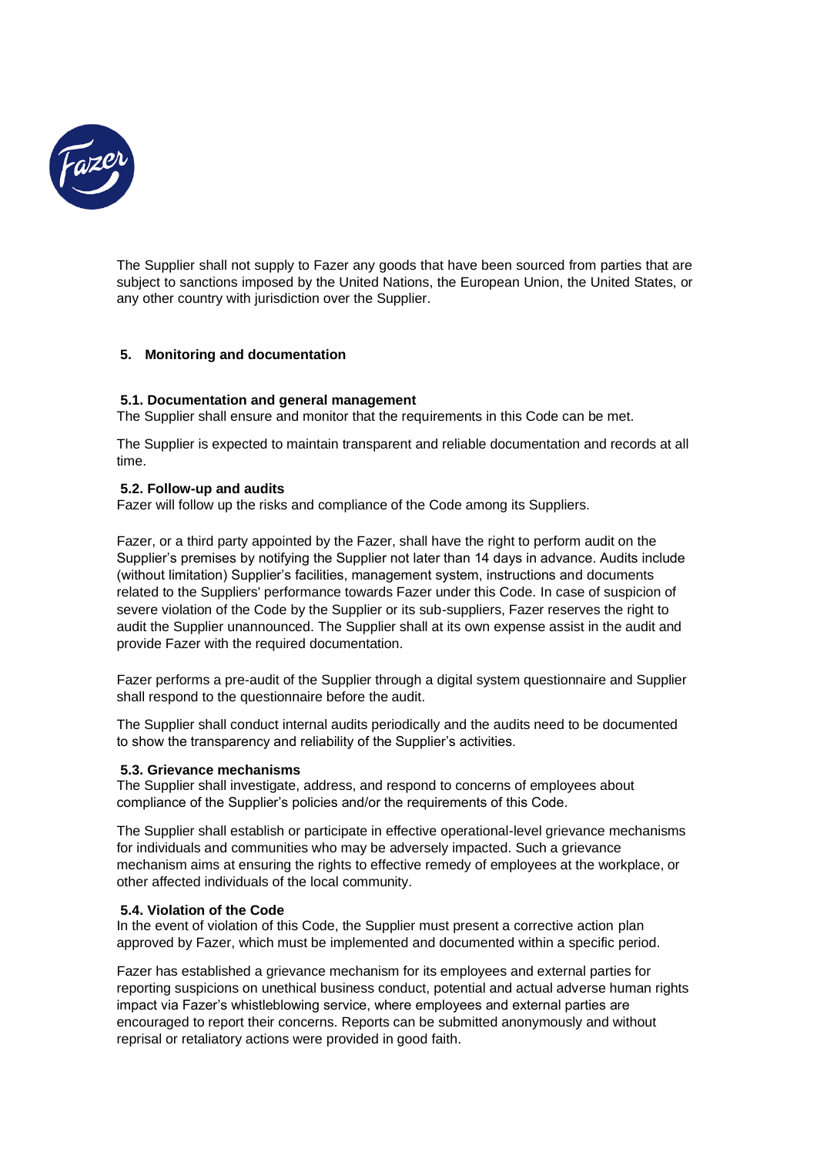

The Supplier shall not supply to Fazer any goods that have been sourced from parties that are subject to sanctions imposed by the United Nations, the European Union, the United States, or any other country with jurisdiction over the Supplier.

## <span id="page-7-0"></span>**5. Monitoring and documentation**

## <span id="page-7-1"></span>**5.1. Documentation and general management**

The Supplier shall ensure and monitor that the requirements in this Code can be met.

The Supplier is expected to maintain transparent and reliable documentation and records at all time.

#### <span id="page-7-2"></span>**5.2. Follow-up and audits**

Fazer will follow up the risks and compliance of the Code among its Suppliers.

Fazer, or a third party appointed by the Fazer, shall have the right to perform audit on the Supplier's premises by notifying the Supplier not later than 14 days in advance. Audits include (without limitation) Supplier's facilities, management system, instructions and documents related to the Suppliers' performance towards Fazer under this Code. In case of suspicion of severe violation of the Code by the Supplier or its sub-suppliers. Fazer reserves the right to audit the Supplier unannounced. The Supplier shall at its own expense assist in the audit and provide Fazer with the required documentation.

Fazer performs a pre-audit of the Supplier through a digital system questionnaire and Supplier shall respond to the questionnaire before the audit.

The Supplier shall conduct internal audits periodically and the audits need to be documented to show the transparency and reliability of the Supplier's activities.

#### <span id="page-7-3"></span>**5.3. Grievance mechanisms**

The Supplier shall investigate, address, and respond to concerns of employees about compliance of the Supplier's policies and/or the requirements of this Code.

The Supplier shall establish or participate in effective operational-level grievance mechanisms for individuals and communities who may be adversely impacted. Such a grievance mechanism aims at ensuring the rights to effective remedy of employees at the workplace, or other affected individuals of the local community.

#### <span id="page-7-4"></span>**5.4. Violation of the Code**

In the event of violation of this Code, the Supplier must present a corrective action plan approved by Fazer, which must be implemented and documented within a specific period.

Fazer has established a grievance mechanism for its employees and external parties for reporting suspicions on unethical business conduct, potential and actual adverse human rights impact via Fazer's whistleblowing service, where employees and external parties are encouraged to report their concerns. Reports can be submitted anonymously and without reprisal or retaliatory actions were provided in good faith.